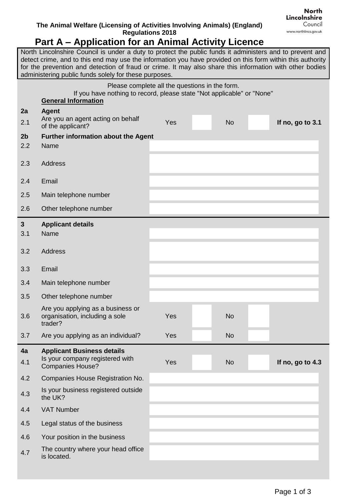## **The Animal Welfare (Licensing of Activities Involving Animals) (England) Regulations 2018**

## **Part A – Application for an Animal Activity Licence**

North Lincolnshire Council is under a duty to protect the public funds it administers and to prevent and detect crime, and to this end may use the information you have provided on this form within this authority for the prevention and detection of fraud or crime. It may also share this information with other bodies administering public funds solely for these purposes.

|                | If you have nothing to record, please state "Not applicable" or "None"         | Please complete all the questions in the form. |           |                  |
|----------------|--------------------------------------------------------------------------------|------------------------------------------------|-----------|------------------|
|                | <b>General Information</b>                                                     |                                                |           |                  |
| 2a             | <b>Agent</b><br>Are you an agent acting on behalf                              |                                                |           |                  |
| 2.1            | of the applicant?                                                              | Yes                                            | <b>No</b> | If no, go to 3.1 |
| 2 <sub>b</sub> | Further information about the Agent                                            |                                                |           |                  |
| 2.2            | Name                                                                           |                                                |           |                  |
| 2.3            | <b>Address</b>                                                                 |                                                |           |                  |
| 2.4            | Email                                                                          |                                                |           |                  |
| 2.5            | Main telephone number                                                          |                                                |           |                  |
| 2.6            | Other telephone number                                                         |                                                |           |                  |
| 3              | <b>Applicant details</b>                                                       |                                                |           |                  |
| 3.1            | Name                                                                           |                                                |           |                  |
|                |                                                                                |                                                |           |                  |
| 3.2            | <b>Address</b>                                                                 |                                                |           |                  |
| 3.3            | Email                                                                          |                                                |           |                  |
| 3.4            | Main telephone number                                                          |                                                |           |                  |
| 3.5            | Other telephone number                                                         |                                                |           |                  |
| 3.6            | Are you applying as a business or<br>organisation, including a sole<br>trader? | Yes                                            | <b>No</b> |                  |
| 3.7            | Are you applying as an individual?                                             | Yes                                            | <b>No</b> |                  |
| 4a             | <b>Applicant Business details</b>                                              |                                                |           |                  |
| 4.1            | Is your company registered with<br><b>Companies House?</b>                     | <b>Yes</b>                                     | <b>No</b> | If no, go to 4.3 |
| 4.2            | Companies House Registration No.                                               |                                                |           |                  |
| 4.3            | Is your business registered outside<br>the UK?                                 |                                                |           |                  |
| 4.4            | <b>VAT Number</b>                                                              |                                                |           |                  |
| 4.5            | Legal status of the business                                                   |                                                |           |                  |
| 4.6            | Your position in the business                                                  |                                                |           |                  |
| 4.7            | The country where your head office<br>is located.                              |                                                |           |                  |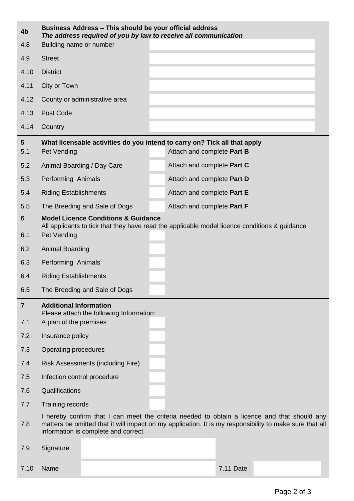| 4b                     | Business Address - This should be your official address<br>The address required of you by law to receive all communication |                                                                                                                                                                                                                                                 |                            |           |  |  |
|------------------------|----------------------------------------------------------------------------------------------------------------------------|-------------------------------------------------------------------------------------------------------------------------------------------------------------------------------------------------------------------------------------------------|----------------------------|-----------|--|--|
| 4.8                    | Building name or number                                                                                                    |                                                                                                                                                                                                                                                 |                            |           |  |  |
| 4.9                    | <b>Street</b>                                                                                                              |                                                                                                                                                                                                                                                 |                            |           |  |  |
| 4.10                   | <b>District</b>                                                                                                            |                                                                                                                                                                                                                                                 |                            |           |  |  |
| 4.11                   | City or Town                                                                                                               |                                                                                                                                                                                                                                                 |                            |           |  |  |
| 4.12                   |                                                                                                                            | County or administrative area                                                                                                                                                                                                                   |                            |           |  |  |
| 4.13                   | Post Code                                                                                                                  |                                                                                                                                                                                                                                                 |                            |           |  |  |
| 4.14                   | Country                                                                                                                    |                                                                                                                                                                                                                                                 |                            |           |  |  |
| $5\phantom{.0}$<br>5.1 | Pet Vending                                                                                                                | What licensable activities do you intend to carry on? Tick all that apply                                                                                                                                                                       | Attach and complete Part B |           |  |  |
| 5.2                    | Animal Boarding / Day Care                                                                                                 |                                                                                                                                                                                                                                                 | Attach and complete Part C |           |  |  |
| 5.3                    | Performing Animals                                                                                                         |                                                                                                                                                                                                                                                 | Attach and complete Part D |           |  |  |
| 5.4                    | <b>Riding Establishments</b>                                                                                               |                                                                                                                                                                                                                                                 | Attach and complete Part E |           |  |  |
| 5.5                    |                                                                                                                            | The Breeding and Sale of Dogs                                                                                                                                                                                                                   | Attach and complete Part F |           |  |  |
| $6\phantom{1}$         |                                                                                                                            | <b>Model Licence Conditions &amp; Guidance</b>                                                                                                                                                                                                  |                            |           |  |  |
| 6.1                    | Pet Vending                                                                                                                | All applicants to tick that they have read the applicable model licence conditions & guidance                                                                                                                                                   |                            |           |  |  |
| 6.2                    | Animal Boarding                                                                                                            |                                                                                                                                                                                                                                                 |                            |           |  |  |
| 6.3                    | Performing Animals                                                                                                         |                                                                                                                                                                                                                                                 |                            |           |  |  |
| 6.4                    | <b>Riding Establishments</b>                                                                                               |                                                                                                                                                                                                                                                 |                            |           |  |  |
| 6.5                    |                                                                                                                            | The Breeding and Sale of Dogs                                                                                                                                                                                                                   |                            |           |  |  |
| $\overline{7}$         | <b>Additional Information</b>                                                                                              | Please attach the following Information:                                                                                                                                                                                                        |                            |           |  |  |
| 7.1                    | A plan of the premises                                                                                                     |                                                                                                                                                                                                                                                 |                            |           |  |  |
| 7.2                    | Insurance policy                                                                                                           |                                                                                                                                                                                                                                                 |                            |           |  |  |
| 7.3                    | Operating procedures                                                                                                       |                                                                                                                                                                                                                                                 |                            |           |  |  |
| 7.4                    |                                                                                                                            | <b>Risk Assessments (including Fire)</b>                                                                                                                                                                                                        |                            |           |  |  |
| 7.5                    | Infection control procedure                                                                                                |                                                                                                                                                                                                                                                 |                            |           |  |  |
| 7.6                    | Qualifications                                                                                                             |                                                                                                                                                                                                                                                 |                            |           |  |  |
| 7.7                    | Training records                                                                                                           |                                                                                                                                                                                                                                                 |                            |           |  |  |
| 7.8                    |                                                                                                                            | I hereby confirm that I can meet the criteria needed to obtain a licence and that should any<br>matters be omitted that it will impact on my application. It is my responsibility to make sure that all<br>information is complete and correct. |                            |           |  |  |
| 7.9                    | Signature                                                                                                                  |                                                                                                                                                                                                                                                 |                            |           |  |  |
| 7.10                   | Name                                                                                                                       |                                                                                                                                                                                                                                                 |                            | 7.11 Date |  |  |